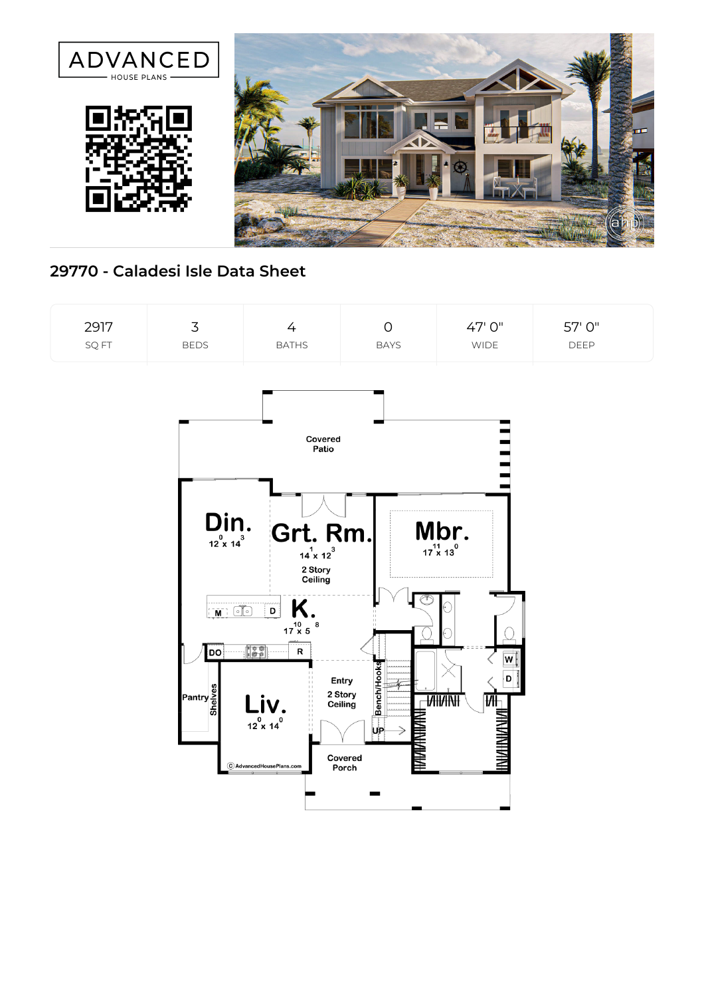

## **29770 - Caladesi Isle Data Sheet**

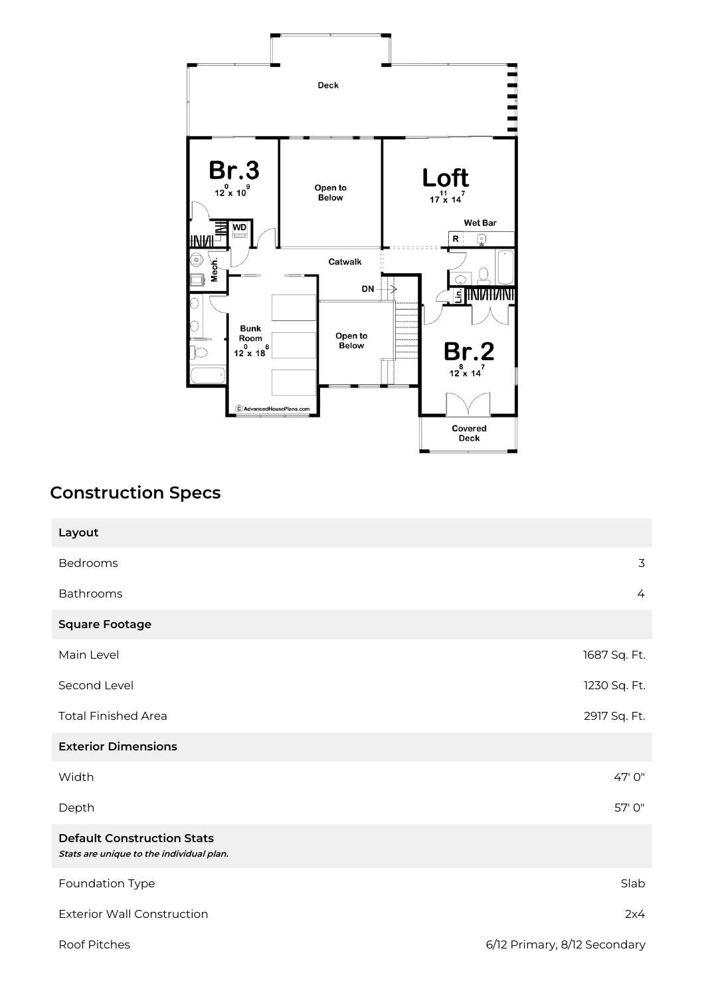

## **Construction Specs**

| Layout                                                                        |                              |
|-------------------------------------------------------------------------------|------------------------------|
| Bedrooms                                                                      | 3                            |
| <b>Bathrooms</b>                                                              | 4                            |
| <b>Square Footage</b>                                                         |                              |
| Main Level                                                                    | 1687 Sq. Ft.                 |
| Second Level                                                                  | 1230 Sq. Ft.                 |
| <b>Total Finished Area</b>                                                    | 2917 Sq. Ft.                 |
| <b>Exterior Dimensions</b>                                                    |                              |
| Width                                                                         | 47' 0"                       |
| Depth                                                                         | 57' 0"                       |
| <b>Default Construction Stats</b><br>Stats are unique to the individual plan. |                              |
| Foundation Type                                                               | Slab                         |
| <b>Exterior Wall Construction</b>                                             | 2x4                          |
| <b>Roof Pitches</b>                                                           | 6/12 Primary, 8/12 Secondary |